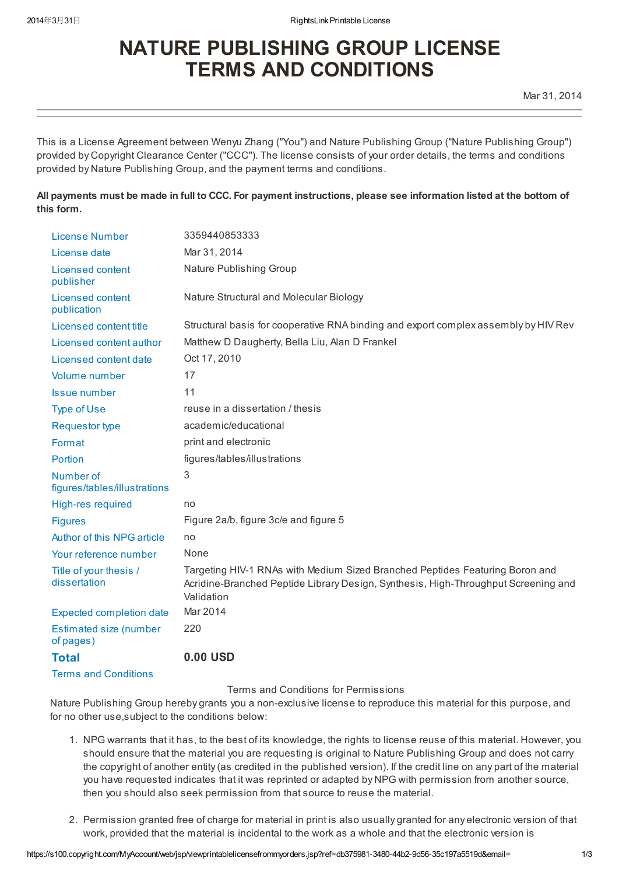## NATURE PUBLISHING GROUP LICENSE TERMS AND CONDITIONS

Mar 31, 2014

This is a License Agreement between Wenyu Zhang ("You") and Nature Publishing Group ("Nature Publishing Group") provided by Copyright Clearance Center ("CCC"). The license consists of your order details, the terms and conditions provided by Nature Publishing Group, and the payment terms and conditions.

All payments must be made in full to CCC. For payment instructions, please see information listed at the bottom of this form.

| <b>License Number</b>                     | 3359440853333                                                                                                                                                                    |
|-------------------------------------------|----------------------------------------------------------------------------------------------------------------------------------------------------------------------------------|
| License date                              | Mar 31, 2014                                                                                                                                                                     |
| Licensed content<br>publisher             | Nature Publishing Group                                                                                                                                                          |
| <b>Licensed content</b><br>publication    | Nature Structural and Molecular Biology                                                                                                                                          |
| Licensed content title                    | Structural basis for cooperative RNA binding and export complex assembly by HIV Rev                                                                                              |
| Licensed content author                   | Matthew D Daugherty, Bella Liu, Alan D Frankel                                                                                                                                   |
| Licensed content date                     | Oct 17, 2010                                                                                                                                                                     |
| Volume number                             | 17                                                                                                                                                                               |
| <b>Issue number</b>                       | 11                                                                                                                                                                               |
| <b>Type of Use</b>                        | reuse in a dissertation / thesis                                                                                                                                                 |
| <b>Requestor type</b>                     | academic/educational                                                                                                                                                             |
| Format                                    | print and electronic                                                                                                                                                             |
| Portion                                   | figures/tables/illustrations                                                                                                                                                     |
| Number of<br>figures/tables/illustrations | 3                                                                                                                                                                                |
| High-res required                         | no                                                                                                                                                                               |
| <b>Figures</b>                            | Figure 2a/b, figure 3c/e and figure 5                                                                                                                                            |
| Author of this NPG article                | no                                                                                                                                                                               |
| Your reference number                     | None                                                                                                                                                                             |
| Title of your thesis /<br>dissertation    | Targeting HIV-1 RNAs with Medium Sized Branched Peptides Featuring Boron and<br>Acridine-Branched Peptide Library Design, Synthesis, High-Throughput Screening and<br>Validation |
| <b>Expected completion date</b>           | Mar 2014                                                                                                                                                                         |
| Estimated size (number<br>of pages)       | 220                                                                                                                                                                              |
| <b>Total</b>                              | 0.00 USD                                                                                                                                                                         |
| <b>Terms and Conditions</b>               |                                                                                                                                                                                  |

Terms and Conditions for Permissions

Nature Publishing Group hereby grants you a non-exclusive license to reproduce this material for this purpose, and for no other use,subject to the conditions below:

- 1. NPG warrants that it has, to the best of its knowledge, the rights to license reuse of this material. However, you should ensure that the material you are requesting is original to Nature Publishing Group and does not carry the copyright of another entity (as credited in the published version). If the credit line on any part of the material you have requested indicates that it was reprinted or adapted by NPG with permission from another source, then you should also seek permission from that source to reuse the material.
- 2. Permission granted free of charge for material in print is also usually granted for any electronic version of that work, provided that the material is incidental to the work as a whole and that the electronic version is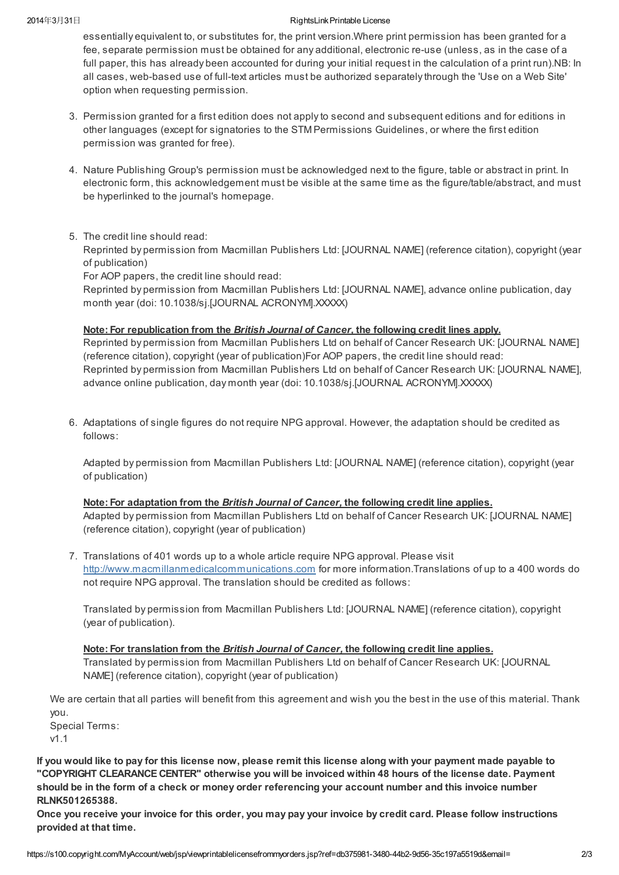## 2014年3月31日 RightsLink Printable License

essentially equivalent to, or substitutes for, the print version.Where print permission has been granted for a fee, separate permission must be obtained for any additional, electronic re-use (unless, as in the case of a full paper, this has already been accounted for during your initial request in the calculation of a print run).NB: In all cases, web-based use of full-text articles must be authorized separately through the 'Use on a Web Site' option when requesting permission.

- 3. Permission granted for a first edition does not apply to second and subsequent editions and for editions in other languages (except for signatories to the STM Permissions Guidelines, or where the first edition permission was granted for free).
- 4. Nature Publishing Group's permission must be acknowledged next to the figure, table or abstract in print. In electronic form, this acknowledgement must be visible at the same time as the figure/table/abstract, and must be hyperlinked to the journal's homepage.
- 5. The credit line should read:

Reprinted by permission from Macmillan Publishers Ltd: [JOURNAL NAME] (reference citation), copyright (year of publication)

For AOP papers, the credit line should read:

Reprinted by permission from Macmillan Publishers Ltd: [JOURNAL NAME], advance online publication, day month year (doi: 10.1038/sj.[JOURNAL ACRONYM].XXXXX)

## Note: For republication from the *British Journal of Cancer*, the following credit lines apply.

Reprinted by permission from Macmillan Publishers Ltd on behalf of Cancer Research UK: [JOURNAL NAME] (reference citation), copyright (year of publication)For AOP papers, the credit line should read: Reprinted by permission from Macmillan Publishers Ltd on behalf of Cancer Research UK: [JOURNAL NAME], advance online publication, day month year (doi: 10.1038/sj.[JOURNAL ACRONYM].XXXXX)

6. Adaptations of single figures do not require NPG approval. However, the adaptation should be credited as follows:

Adapted by permission from Macmillan Publishers Ltd: [JOURNAL NAME] (reference citation), copyright (year of publication)

Note: For adaptation from the British Journal of Cancer, the following credit line applies. Adapted by permission from Macmillan Publishers Ltd on behalf of Cancer Research UK: [JOURNAL NAME] (reference citation), copyright (year of publication)

7. Translations of 401 words up to a whole article require NPG approval. Please visit [http://www.macmillanmedicalcommunications.com](http://www.macmillanmedicalcommunications.com/) for more information.Translations of up to a 400 words do not require NPG approval. The translation should be credited as follows:

Translated by permission from Macmillan Publishers Ltd: [JOURNAL NAME] (reference citation), copyright (year of publication).

Note: For translation from the British Journal of Cancer, the following credit line applies. Translated by permission from Macmillan Publishers Ltd on behalf of Cancer Research UK: [JOURNAL NAME] (reference citation), copyright (year of publication)

We are certain that all parties will benefit from this agreement and wish you the best in the use of this material. Thank you.

Special Terms: v1.1

If you would like to pay for this license now, please remit this license along with your payment made payable to "COPYRIGHT CLEARANCE CENTER" otherwise you will be invoiced within 48 hours of the license date. Payment should be in the form of a check or money order referencing your account number and this invoice number RLNK501265388.

Once you receive your invoice for this order, you may pay your invoice by credit card. Please follow instructions provided at that time.